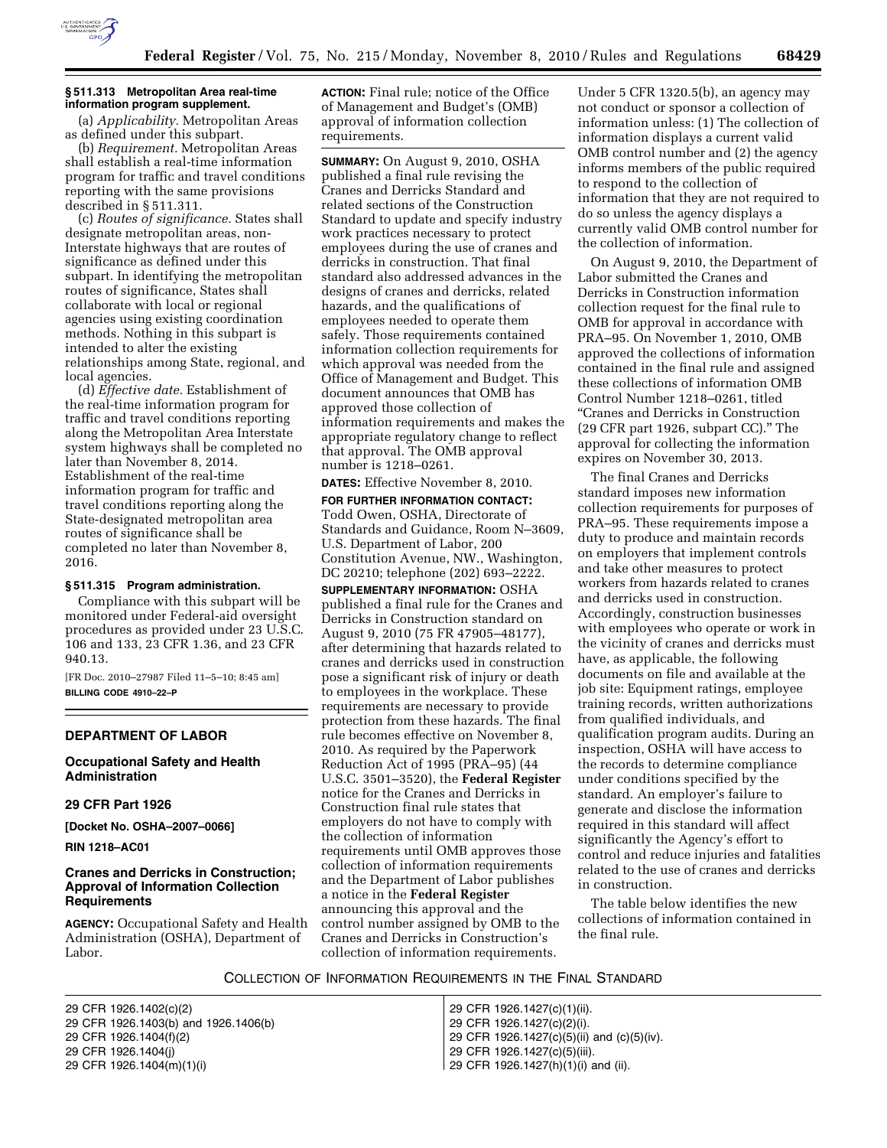

## **§ 511.313 Metropolitan Area real-time information program supplement.**

(a) *Applicability.* Metropolitan Areas as defined under this subpart.

(b) *Requirement.* Metropolitan Areas shall establish a real-time information program for traffic and travel conditions reporting with the same provisions described in § 511.311.

(c) *Routes of significance.* States shall designate metropolitan areas, non-Interstate highways that are routes of significance as defined under this subpart. In identifying the metropolitan routes of significance, States shall collaborate with local or regional agencies using existing coordination methods. Nothing in this subpart is intended to alter the existing relationships among State, regional, and local agencies.

(d) *Effective date.* Establishment of the real-time information program for traffic and travel conditions reporting along the Metropolitan Area Interstate system highways shall be completed no later than November 8, 2014. Establishment of the real-time information program for traffic and travel conditions reporting along the State-designated metropolitan area routes of significance shall be completed no later than November 8, 2016.

## **§ 511.315 Program administration.**

Compliance with this subpart will be monitored under Federal-aid oversight procedures as provided under 23 U.S.C. 106 and 133, 23 CFR 1.36, and 23 CFR 940.13.

[FR Doc. 2010–27987 Filed 11–5–10; 8:45 am] **BILLING CODE 4910–22–P** 

#### **DEPARTMENT OF LABOR**

**Occupational Safety and Health Administration** 

## **29 CFR Part 1926**

**[Docket No. OSHA–2007–0066]** 

**RIN 1218–AC01** 

# **Cranes and Derricks in Construction; Approval of Information Collection Requirements**

**AGENCY:** Occupational Safety and Health Administration (OSHA), Department of Labor.

**ACTION:** Final rule; notice of the Office of Management and Budget's (OMB) approval of information collection requirements.

**SUMMARY:** On August 9, 2010, OSHA published a final rule revising the Cranes and Derricks Standard and related sections of the Construction Standard to update and specify industry work practices necessary to protect employees during the use of cranes and derricks in construction. That final standard also addressed advances in the designs of cranes and derricks, related hazards, and the qualifications of employees needed to operate them safely. Those requirements contained information collection requirements for which approval was needed from the Office of Management and Budget. This document announces that OMB has approved those collection of information requirements and makes the appropriate regulatory change to reflect that approval. The OMB approval number is 1218–0261.

**DATES:** Effective November 8, 2010.

**FOR FURTHER INFORMATION CONTACT:**  Todd Owen, OSHA, Directorate of Standards and Guidance, Room N–3609, U.S. Department of Labor, 200 Constitution Avenue, NW., Washington, DC 20210; telephone (202) 693–2222.

**SUPPLEMENTARY INFORMATION:** OSHA published a final rule for the Cranes and Derricks in Construction standard on August 9, 2010 (75 FR 47905–48177), after determining that hazards related to cranes and derricks used in construction pose a significant risk of injury or death to employees in the workplace. These requirements are necessary to provide protection from these hazards. The final rule becomes effective on November 8, 2010. As required by the Paperwork Reduction Act of 1995 (PRA–95) (44 U.S.C. 3501–3520), the **Federal Register**  notice for the Cranes and Derricks in Construction final rule states that employers do not have to comply with the collection of information requirements until OMB approves those collection of information requirements and the Department of Labor publishes a notice in the **Federal Register**  announcing this approval and the control number assigned by OMB to the Cranes and Derricks in Construction's collection of information requirements.

Under 5 CFR 1320.5(b), an agency may not conduct or sponsor a collection of information unless: (1) The collection of information displays a current valid OMB control number and (2) the agency informs members of the public required to respond to the collection of information that they are not required to do so unless the agency displays a currently valid OMB control number for the collection of information.

On August 9, 2010, the Department of Labor submitted the Cranes and Derricks in Construction information collection request for the final rule to OMB for approval in accordance with PRA–95. On November 1, 2010, OMB approved the collections of information contained in the final rule and assigned these collections of information OMB Control Number 1218–0261, titled ''Cranes and Derricks in Construction (29 CFR part 1926, subpart CC).'' The approval for collecting the information expires on November 30, 2013.

The final Cranes and Derricks standard imposes new information collection requirements for purposes of PRA–95. These requirements impose a duty to produce and maintain records on employers that implement controls and take other measures to protect workers from hazards related to cranes and derricks used in construction. Accordingly, construction businesses with employees who operate or work in the vicinity of cranes and derricks must have, as applicable, the following documents on file and available at the job site: Equipment ratings, employee training records, written authorizations from qualified individuals, and qualification program audits. During an inspection, OSHA will have access to the records to determine compliance under conditions specified by the standard. An employer's failure to generate and disclose the information required in this standard will affect significantly the Agency's effort to control and reduce injuries and fatalities related to the use of cranes and derricks in construction.

The table below identifies the new collections of information contained in the final rule.

COLLECTION OF INFORMATION REQUIREMENTS IN THE FINAL STANDARD

29 CFR 1926.1402(c)(2) 29 CFR 1926.1427(c)(1)(ii). 29 CFR 1926.1403(b) and 1926.1406(b) 29 CFR 1926.1427(c)(2)(i). 29 CFR 1926.1404(j) 29 CFR 1926.1427(c)(5)(iii). 29 CFR 1926.1404(m)(1)(i) 29 CFR 1926.1427(h)(1)(i) and (ii).

29 CFR 1926.1427(c)(5)(ii) and (c)(5)(iv).